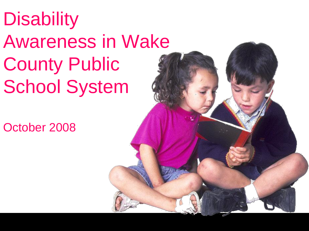# **Disability** Awareness in Wake County Public School System

October 2008

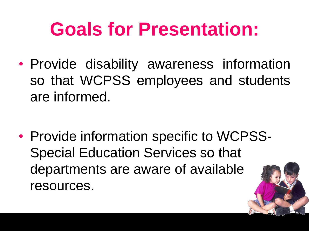### **Goals for Presentation:**

• Provide disability awareness information so that WCPSS employees and students are informed.

• Provide information specific to WCPSS-Special Education Services so that departments are aware of available resources.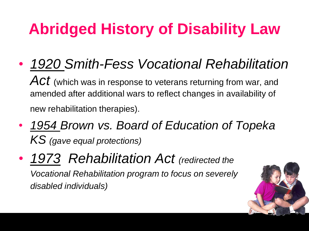• *1920 Smith-Fess Vocational Rehabilitation* 

Act (which was in response to veterans returning from war, and amended after additional wars to reflect changes in availability of new rehabilitation therapies).

- *1954 Brown vs. Board of Education of Topeka KS (gave equal protections)*
- *1973 Rehabilitation Act (redirected the Vocational Rehabilitation program to focus on severely disabled individuals)*

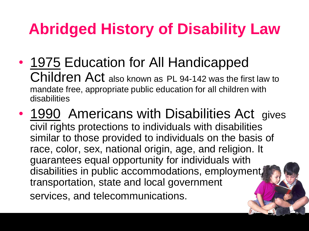- 1975 Education for All Handicapped Children Act also known as PL 94-142 was the first law to mandate free, appropriate public education for all children with disabilities
- 1990 Americans with Disabilities Act gives civil rights protections to individuals with disabilities similar to those provided to individuals on the basis of race, color, sex, national origin, age, and religion. It guarantees equal opportunity for individuals with disabilities in public accommodations, employment, transportation, state and local government services, and telecommunications.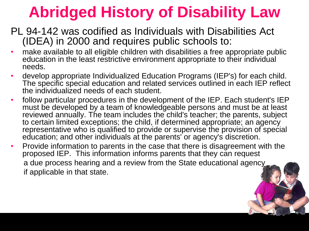- PL 94-142 was codified as Individuals with Disabilities Act (IDEA) in 2000 and requires public schools to:
- make available to all eligible children with disabilities a free appropriate public education in the least restrictive environment appropriate to their individual needs.
- develop appropriate Individualized Education Programs (IEP's) for each child. The specific special education and related services outlined in each IEP reflect the individualized needs of each student.
- follow particular procedures in the development of the IEP. Each student's IEP must be developed by a team of knowledgeable persons and must be at least reviewed annually. The team includes the child's teacher; the parents, subject to certain limited exceptions; the child, if determined appropriate; an agency representative who is qualified to provide or supervise the provision of special education; and other individuals at the parents' or agency's discretion.
- Provide information to parents in the case that there is disagreement with the proposed IEP. This information informs parents that they can request a due process hearing and a review from the State educational agency if applicable in that state.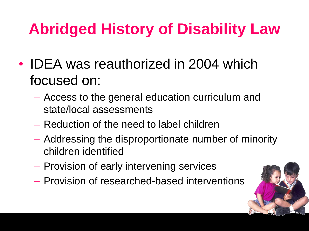- IDEA was reauthorized in 2004 which focused on:
	- Access to the general education curriculum and state/local assessments
	- Reduction of the need to label children
	- Addressing the disproportionate number of minority children identified
	- Provision of early intervening services
	- Provision of researched-based interventions

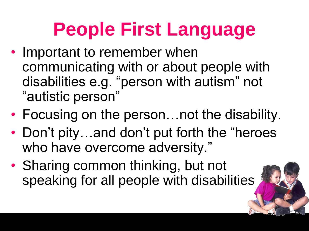### **People First Language**

- Important to remember when communicating with or about people with disabilities e.g. "person with autism" not "autistic person"
- Focusing on the person... not the disability.
- Don't pity...and don't put forth the "heroes" who have overcome adversity."
- Sharing common thinking, but not speaking for all people with disabilities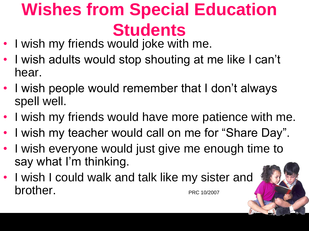#### **Wishes from Special Education Students**

- I wish my friends would joke with me.
- I wish adults would stop shouting at me like I can't hear.
- I wish people would remember that I don't always spell well.
- I wish my friends would have more patience with me.
- I wish my teacher would call on me for "Share Day".
- I wish everyone would just give me enough time to say what I'm thinking.
- I wish I could walk and talk like my sister and brother. PRC 10/2007

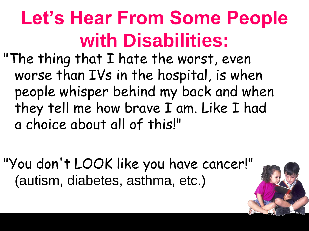## **Let's Hear From Some People with Disabilities:**

"The thing that I hate the worst, even worse than IVs in the hospital, is when people whisper behind my back and when they tell me how brave I am. Like I had a choice about all of this!"

"You don't LOOK like you have cancer!" (autism, diabetes, asthma, etc.)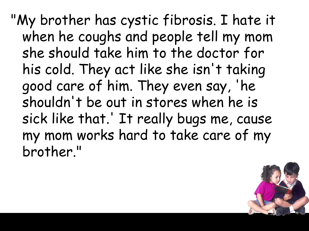"My brother has cystic fibrosis. I hate it when he coughs and people tell my mom she should take him to the doctor for his cold. They act like she isn't taking good care of him. They even say, 'he shouldn't be out in stores when he is sick like that.' It really bugs me, cause my mom works hard to take care of my brother."

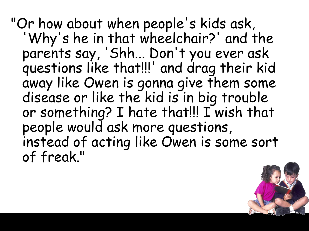"Or how about when people's kids ask, 'Why's he in that wheelchair?' and the parents say, 'Shh... Don't you ever ask questions like that!!!' and drag their kid away like Owen is gonna give them some disease or like the kid is in big trouble or something? I hate that!!! I wish that people would ask more questions, instead of acting like Owen is some sort of freak."

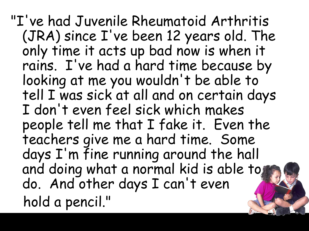"I've had Juvenile Rheumatoid Arthritis (JRA) since I've been 12 years old. The only time it acts up bad now is when it rains. I've had a hard time because by looking at me you wouldn't be able to tell I was sick at all and on certain days I don't even feel sick which makes people tell me that I fake it. Even the teachers give me a hard time. Some days I'm fine running around the hall and doing what a normal kid is able to do. And other days I can't even hold a pencil."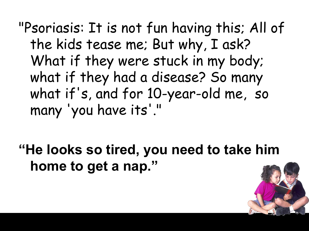"Psoriasis: It is not fun having this; All of the kids tease me; But why, I ask? What if they were stuck in my body; what if they had a disease? So many what if's, and for 10-year-old me, so many 'you have its'."

**"He looks so tired, you need to take him home to get a nap."**

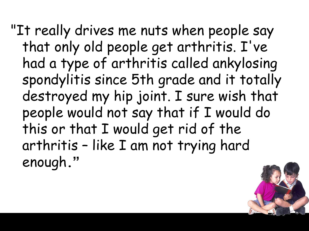"It really drives me nuts when people say that only old people get arthritis. I've had a type of arthritis called ankylosing spondylitis since 5th grade and it totally destroyed my hip joint. I sure wish that people would not say that if I would do this or that I would get rid of the arthritis – like I am not trying hard enough**."**

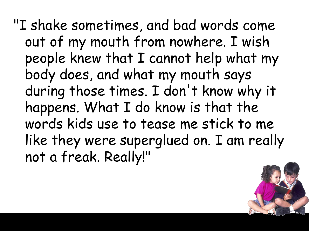"I shake sometimes, and bad words come out of my mouth from nowhere. I wish people knew that I cannot help what my body does, and what my mouth says during those times. I don't know why it happens. What I do know is that the words kids use to tease me stick to me like they were superglued on. I am really not a freak. Really!"

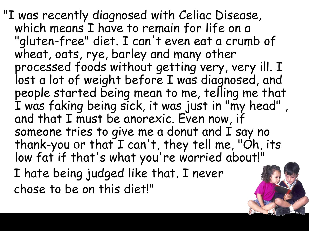"I was recently diagnosed with Celiac Disease, which means I have to remain for life on a "gluten-free" diet. I can't even eat a crumb of wheat, oats, rye, barley and many other processed foods without getting very, very ill. I lost a lot of weight before I was diagnosed, and people started being mean to me, telling me that I was faking being sick, it was just in "my head" , and that I must be anorexic. Even now, if someone tries to give me a donut and I say no thank-you or that I can't, they tell me, "Oh, its low fat if that's what you're worried about!" I hate being judged like that. I never chose to be on this diet!"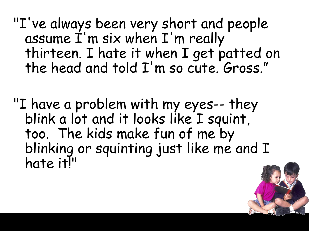"I've always been very short and people assume I'm six when I'm really thirteen. I hate it when I get patted on the head and told I'm so cute. Gross."

"I have a problem with my eyes-- they blink a lot and it looks like I squint, too. The kids make fun of me by blinking or squinting just like me and I hate it!"

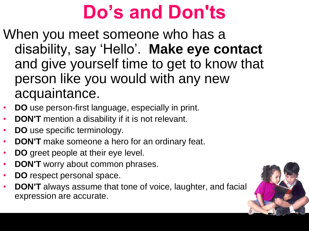### **Do's and Don'ts**

- When you meet someone who has a disability, say 'Hello'. **Make eye contact** and give yourself time to get to know that person like you would with any new acquaintance.
- **DO** use person-first language, especially in print.
- **DON'T** mention a disability if it is not relevant.
- **DO** use specific terminology.
- **DON'T** make someone a hero for an ordinary feat.
- **DO** greet people at their eye level.
- **DON'T** worry about common phrases.
- **DO** respect personal space.
- **DON'T** always assume that tone of voice, laughter, and facial expression are accurate.

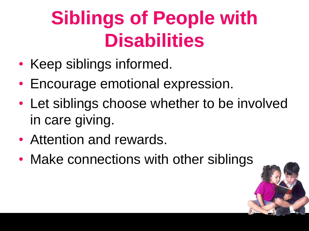## **Siblings of People with Disabilities**

- Keep siblings informed.
- Encourage emotional expression.
- Let siblings choose whether to be involved in care giving.
- Attention and rewards.
- Make connections with other siblings

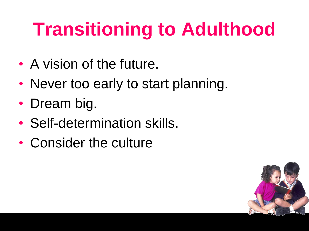## **Transitioning to Adulthood**

- A vision of the future.
- Never too early to start planning.
- Dream big.
- Self-determination skills.
- Consider the culture

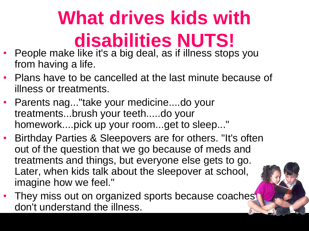# **What drives kids with disabilities NUTS!**

- People make like it's a big deal, as if illness stops you from having a life.
- Plans have to be cancelled at the last minute because of illness or treatments.
- Parents nag..."take your medicine....do your treatments...brush your teeth.....do your homework....pick up your room...get to sleep..."
- Birthday Parties & Sleepovers are for others. "It's often out of the question that we go because of meds and treatments and things, but everyone else gets to go. Later, when kids talk about the sleepover at school, imagine how we feel."
- They miss out on organized sports because coaches don't understand the illness.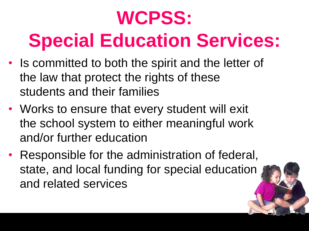# **WCPSS: Special Education Services:**

- Is committed to both the spirit and the letter of the law that protect the rights of these students and their families
- Works to ensure that every student will exit the school system to either meaningful work and/or further education
- Responsible for the administration of federal, state, and local funding for special education and related services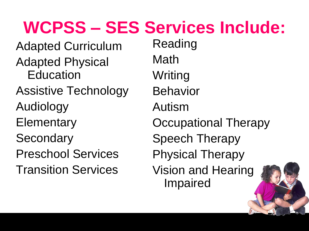#### **WCPSS – SES Services Include:**

Adapted Curriculum Adapted Physical **Education** Assistive Technology Audiology **Elementary Secondary** Preschool Services Transition Services

Reading Math **Writing** Behavior Autism Occupational Therapy Speech Therapy Physical Therapy Vision and Hearing Impaired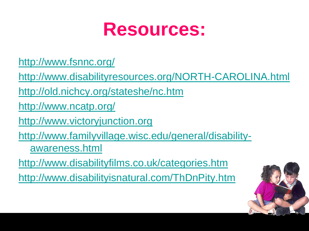

<http://www.fsnnc.org/>

<http://www.disabilityresources.org/NORTH-CAROLINA.html>

<http://old.nichcy.org/stateshe/nc.htm>

<http://www.ncatp.org/>

[http://www.victoryjunction.org](http://www.victoryjunction.org/)

[http://www.familyvillage.wisc.edu/general/disability](http://www.familyvillage.wisc.edu/general/disability-awareness.html)[awareness.html](http://www.familyvillage.wisc.edu/general/disability-awareness.html)

<http://www.disabilityfilms.co.uk/categories.htm>

<http://www.disabilityisnatural.com/ThDnPity.htm>

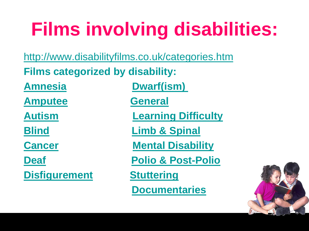## **Films involving disabilities:**

<http://www.disabilityfilms.co.uk/categories.htm>

**Films categorized by disability:**

**[Amputee](http://www.disabilityfilms.co.uk/amputeetoc.htm) [General](http://www.disabilityfilms.co.uk/generaltoc.htm)**

**[Disfigurement](http://www.disabilityfilms.co.uk/disfigtoc.htm) [Stuttering](http://www.disabilityfilms.co.uk/stutter.htm)**

**[Amnesia](http://www.disabilityfilms.co.uk/amnesiatoc.htm) Dwarf(ism)** 

**[Autism](http://www.disabilityfilms.co.uk/autismtoc.htm) [Learning Difficulty](http://www.disabilityfilms.co.uk/learntoc.htm)**

**[Blind](http://www.disabilityfilms.co.uk/blindtoc.htm) [Limb & Spinal](http://www.disabilityfilms.co.uk/limbtoc.htm)** 

**[Cancer](http://www.disabilityfilms.co.uk/cancertoc.htm) [Mental Disability](http://www.disabilityfilms.co.uk/mentaltoc.htm)**

**[Deaf](http://www.disabilityfilms.co.uk/deaftoc.htm) [Polio & Post-Polio](http://www.disabilityfilms.co.uk/poliotoc.htm)** 

 **[Documentaries](http://www.disabilityfilms.co.uk/doc1.htm)**